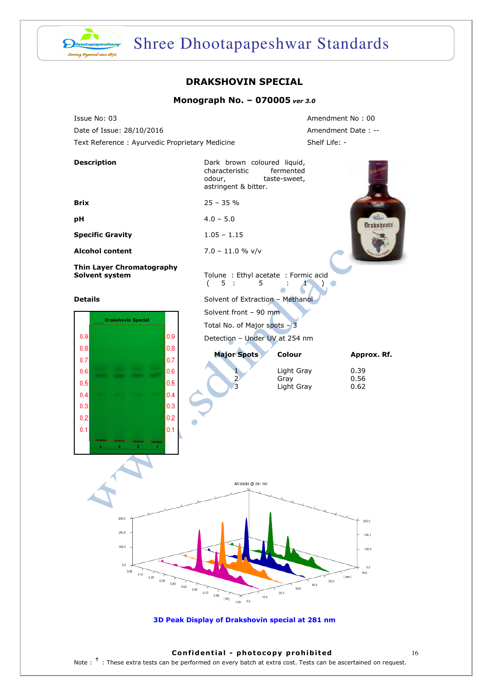

# Shree Dhootapapeshwar Standards

## DRAKSHOVIN SPECIAL

### Monograph No. – 070005 ver 3.0

Issue No: 03 Amendment No : 00 Date of Issue: 28/10/2016 Amendment Date: --Text Reference : Ayurvedic Proprietary Medicine Shelf Life: -

| <b>Description</b>                                   |                      | Dark brown coloured liquid,<br>characteristic<br>odour,<br>astringent & bitter. |      | fermented<br>taste-sweet, |              |                                       |
|------------------------------------------------------|----------------------|---------------------------------------------------------------------------------|------|---------------------------|--------------|---------------------------------------|
| <b>Brix</b>                                          |                      | $25 - 35%$                                                                      |      |                           |              | <b>LEA</b>                            |
| pH                                                   |                      | $4.0 - 5.0$                                                                     |      |                           |              | $Q = 1$<br><b>Drakshovin</b>          |
| <b>Specific Gravity</b>                              |                      | $1.05 - 1.15$                                                                   |      |                           |              |                                       |
| <b>Alcohol content</b>                               |                      | $7.0 - 11.0 %$ v/v                                                              |      |                           |              |                                       |
| Thin Layer Chromatography<br>Solvent system          |                      | Tolune : Ethyl acetate : Formic acid<br>5:<br>(<br>5                            |      |                           |              |                                       |
| <b>Details</b>                                       |                      | Solvent of Extraction - Methanol                                                |      |                           |              |                                       |
| <b>Drakshovin Special</b>                            |                      | Solvent front - 90 mm                                                           |      |                           |              |                                       |
|                                                      |                      | Total No. of Major spots - 3                                                    |      |                           |              |                                       |
| 0.9<br>0.8                                           | 0.9<br>0.8           | Detection - Under UV at 254 nm                                                  |      |                           |              |                                       |
| 0.7                                                  | 0.7                  | <b>Major Spots</b>                                                              |      | <b>Colour</b>             |              | Approx. Rf.                           |
| 0.6                                                  | 0.6                  |                                                                                 |      | Light Gray                |              | 0.39                                  |
| 0.5                                                  | 0.5                  | 2<br>3                                                                          |      | Gray<br>Light Gray        |              | 0.56<br>0.62                          |
| 0.4                                                  | 0.4                  |                                                                                 |      |                           |              |                                       |
| 0.3                                                  | 0.3                  |                                                                                 |      |                           |              |                                       |
| 0.2                                                  | 0.2                  |                                                                                 |      |                           |              |                                       |
| 0.1                                                  | 0.1                  |                                                                                 |      |                           |              |                                       |
|                                                      |                      | All tracks @ 281 nm                                                             |      |                           |              |                                       |
|                                                      |                      |                                                                                 |      |                           |              |                                       |
| [AU]<br>100.0<br>0.0<br>0.00<br>0.10<br>0.20<br>0.30 | 0.40<br>0.50<br>0.60 | 0.70<br>0.80<br>$[$ Rf $]$<br>0.0<br>1.00                                       | 10.0 | 40.0<br>30.0<br>20.0      | [mm]<br>50.0 | 300.0<br>[AU]<br>100.0<br>0.0<br>70.0 |
| 3D Peak Display of Drakshovin special at 281 nm      |                      |                                                                                 |      |                           |              |                                       |

#### Confidential - photocopy prohibited 16

Note : <sup>†</sup> : These extra tests can be performed on every batch at extra cost. Tests can be ascertained on request.